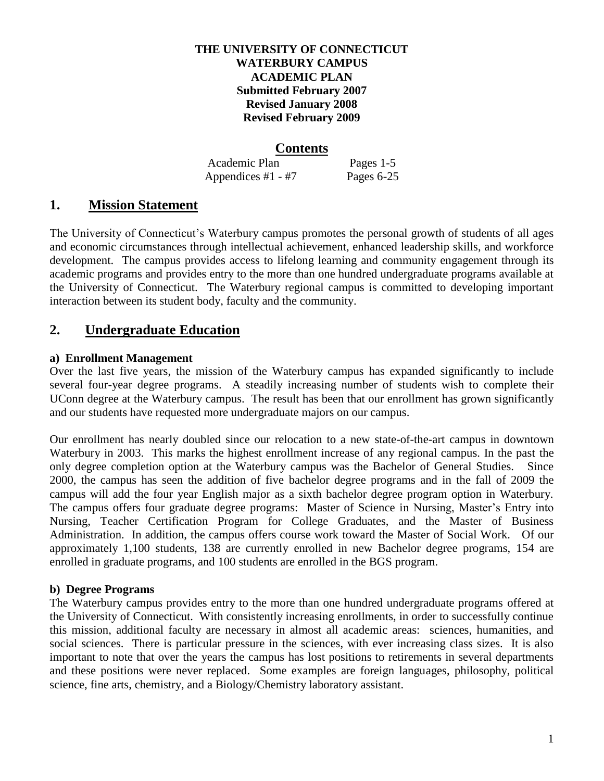#### **THE UNIVERSITY OF CONNECTICUT WATERBURY CAMPUS ACADEMIC PLAN Submitted February 2007 Revised January 2008 Revised February 2009**

## **Contents**

Academic Plan Pages 1-5 Appendices  $#1 - #7$  Pages 6-25

## **1. Mission Statement**

The University of Connecticut's Waterbury campus promotes the personal growth of students of all ages and economic circumstances through intellectual achievement, enhanced leadership skills, and workforce development. The campus provides access to lifelong learning and community engagement through its academic programs and provides entry to the more than one hundred undergraduate programs available at the University of Connecticut. The Waterbury regional campus is committed to developing important interaction between its student body, faculty and the community.

# **2. Undergraduate Education**

## **a) Enrollment Management**

Over the last five years, the mission of the Waterbury campus has expanded significantly to include several four-year degree programs. A steadily increasing number of students wish to complete their UConn degree at the Waterbury campus. The result has been that our enrollment has grown significantly and our students have requested more undergraduate majors on our campus.

Our enrollment has nearly doubled since our relocation to a new state-of-the-art campus in downtown Waterbury in 2003. This marks the highest enrollment increase of any regional campus. In the past the only degree completion option at the Waterbury campus was the Bachelor of General Studies. Since 2000, the campus has seen the addition of five bachelor degree programs and in the fall of 2009 the campus will add the four year English major as a sixth bachelor degree program option in Waterbury. The campus offers four graduate degree programs: Master of Science in Nursing, Master's Entry into Nursing, Teacher Certification Program for College Graduates, and the Master of Business Administration. In addition, the campus offers course work toward the Master of Social Work. Of our approximately 1,100 students, 138 are currently enrolled in new Bachelor degree programs, 154 are enrolled in graduate programs, and 100 students are enrolled in the BGS program.

## **b) Degree Programs**

The Waterbury campus provides entry to the more than one hundred undergraduate programs offered at the University of Connecticut. With consistently increasing enrollments, in order to successfully continue this mission, additional faculty are necessary in almost all academic areas: sciences, humanities, and social sciences. There is particular pressure in the sciences, with ever increasing class sizes. It is also important to note that over the years the campus has lost positions to retirements in several departments and these positions were never replaced. Some examples are foreign languages, philosophy, political science, fine arts, chemistry, and a Biology/Chemistry laboratory assistant.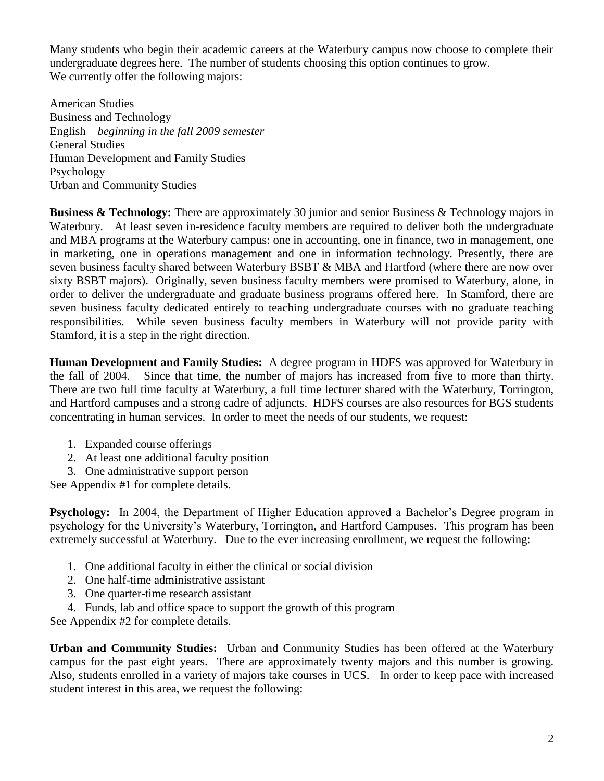Many students who begin their academic careers at the Waterbury campus now choose to complete their undergraduate degrees here. The number of students choosing this option continues to grow. We currently offer the following majors:

American Studies Business and Technology English – *beginning in the fall 2009 semester* General Studies Human Development and Family Studies Psychology Urban and Community Studies

**Business & Technology:** There are approximately 30 junior and senior Business & Technology majors in Waterbury. At least seven in-residence faculty members are required to deliver both the undergraduate and MBA programs at the Waterbury campus: one in accounting, one in finance, two in management, one in marketing, one in operations management and one in information technology. Presently, there are seven business faculty shared between Waterbury BSBT & MBA and Hartford (where there are now over sixty BSBT majors). Originally, seven business faculty members were promised to Waterbury, alone, in order to deliver the undergraduate and graduate business programs offered here. In Stamford, there are seven business faculty dedicated entirely to teaching undergraduate courses with no graduate teaching responsibilities. While seven business faculty members in Waterbury will not provide parity with Stamford, it is a step in the right direction.

**Human Development and Family Studies:** A degree program in HDFS was approved for Waterbury in the fall of 2004. Since that time, the number of majors has increased from five to more than thirty. There are two full time faculty at Waterbury, a full time lecturer shared with the Waterbury, Torrington, and Hartford campuses and a strong cadre of adjuncts. HDFS courses are also resources for BGS students concentrating in human services. In order to meet the needs of our students, we request:

- 1. Expanded course offerings
- 2. At least one additional faculty position
- 3. One administrative support person

See Appendix #1 for complete details.

**Psychology:** In 2004, the Department of Higher Education approved a Bachelor's Degree program in psychology for the University's Waterbury, Torrington, and Hartford Campuses. This program has been extremely successful at Waterbury. Due to the ever increasing enrollment, we request the following:

- 1. One additional faculty in either the clinical or social division
- 2. One half-time administrative assistant
- 3. One quarter-time research assistant
- 4. Funds, lab and office space to support the growth of this program

See Appendix #2 for complete details.

**Urban and Community Studies:** Urban and Community Studies has been offered at the Waterbury campus for the past eight years. There are approximately twenty majors and this number is growing. Also, students enrolled in a variety of majors take courses in UCS. In order to keep pace with increased student interest in this area, we request the following: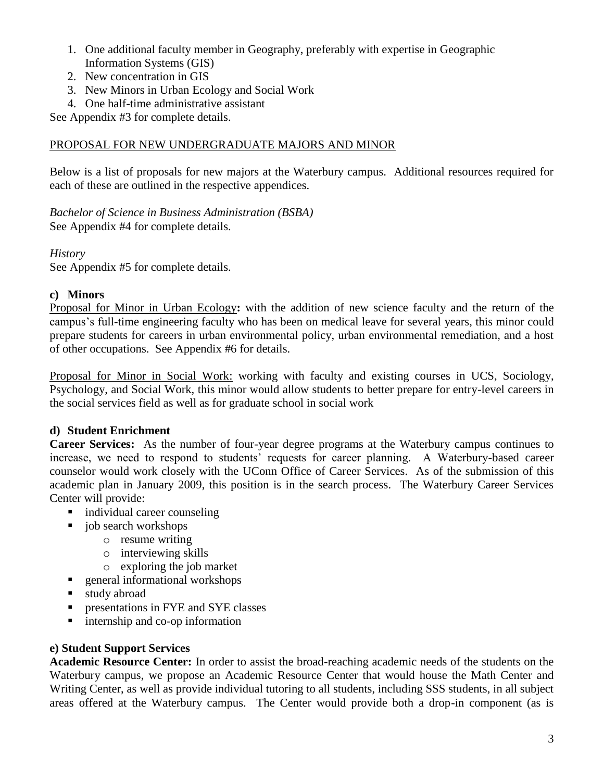- 1. One additional faculty member in Geography, preferably with expertise in Geographic Information Systems (GIS)
- 2. New concentration in GIS
- 3. New Minors in Urban Ecology and Social Work
- 4. One half-time administrative assistant

See Appendix #3 for complete details.

### PROPOSAL FOR NEW UNDERGRADUATE MAJORS AND MINOR

Below is a list of proposals for new majors at the Waterbury campus. Additional resources required for each of these are outlined in the respective appendices.

*Bachelor of Science in Business Administration (BSBA)* See Appendix #4 for complete details.

#### *History*

See Appendix #5 for complete details.

#### **c) Minors**

Proposal for Minor in Urban Ecology**:** with the addition of new science faculty and the return of the campus's full-time engineering faculty who has been on medical leave for several years, this minor could prepare students for careers in urban environmental policy, urban environmental remediation, and a host of other occupations. See Appendix #6 for details.

Proposal for Minor in Social Work: working with faculty and existing courses in UCS, Sociology, Psychology, and Social Work, this minor would allow students to better prepare for entry-level careers in the social services field as well as for graduate school in social work

## **d) Student Enrichment**

**Career Services:** As the number of four-year degree programs at the Waterbury campus continues to increase, we need to respond to students' requests for career planning. A Waterbury-based career counselor would work closely with the UConn Office of Career Services. As of the submission of this academic plan in January 2009, this position is in the search process. The Waterbury Career Services Center will provide:

- individual career counseling
- job search workshops
	- o resume writing
	- o interviewing skills
	- o exploring the job market
- **general informational workshops**
- study abroad
- **PEDIES IN THE ALTER IS NO STEP IN STREE** classes
- internship and co-op information

## **e) Student Support Services**

**Academic Resource Center:** In order to assist the broad-reaching academic needs of the students on the Waterbury campus, we propose an Academic Resource Center that would house the Math Center and Writing Center, as well as provide individual tutoring to all students, including SSS students, in all subject areas offered at the Waterbury campus. The Center would provide both a drop-in component (as is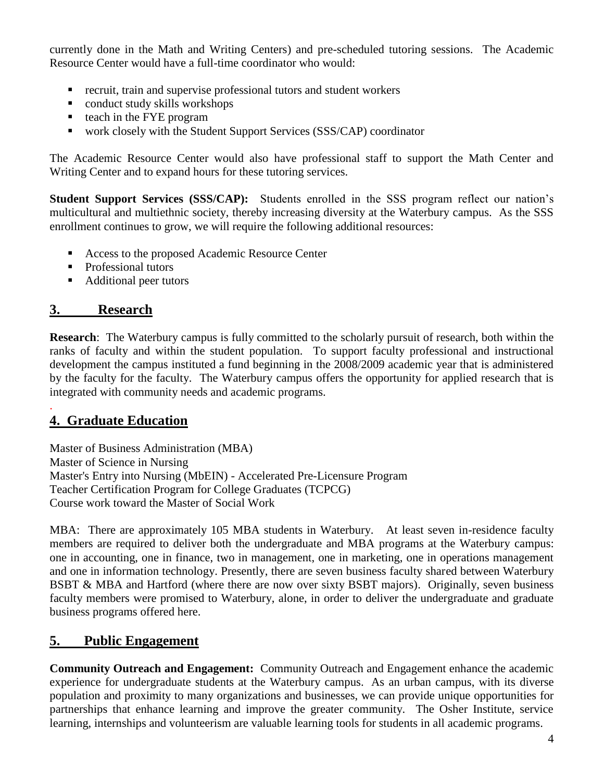currently done in the Math and Writing Centers) and pre-scheduled tutoring sessions. The Academic Resource Center would have a full-time coordinator who would:

- recruit, train and supervise professional tutors and student workers
- conduct study skills workshops
- $\blacksquare$  teach in the FYE program
- work closely with the Student Support Services (SSS/CAP) coordinator

The Academic Resource Center would also have professional staff to support the Math Center and Writing Center and to expand hours for these tutoring services.

**Student Support Services (SSS/CAP):** Students enrolled in the SSS program reflect our nation's multicultural and multiethnic society, thereby increasing diversity at the Waterbury campus. As the SSS enrollment continues to grow, we will require the following additional resources:

- Access to the proposed Academic Resource Center
- Professional tutors
- Additional peer tutors

# **3. Research**

**Research**: The Waterbury campus is fully committed to the scholarly pursuit of research, both within the ranks of faculty and within the student population. To support faculty professional and instructional development the campus instituted a fund beginning in the 2008/2009 academic year that is administered by the faculty for the faculty. The Waterbury campus offers the opportunity for applied research that is integrated with community needs and academic programs.

## . **4. Graduate Education**

Master of Business Administration (MBA) Master of Science in Nursing Master's Entry into Nursing (MbEIN) - Accelerated Pre-Licensure Program Teacher Certification Program for College Graduates (TCPCG) Course work toward the Master of Social Work

MBA: There are approximately 105 MBA students in Waterbury. At least seven in-residence faculty members are required to deliver both the undergraduate and MBA programs at the Waterbury campus: one in accounting, one in finance, two in management, one in marketing, one in operations management and one in information technology. Presently, there are seven business faculty shared between Waterbury BSBT & MBA and Hartford (where there are now over sixty BSBT majors). Originally, seven business faculty members were promised to Waterbury, alone, in order to deliver the undergraduate and graduate business programs offered here.

# **5. Public Engagement**

**Community Outreach and Engagement:** Community Outreach and Engagement enhance the academic experience for undergraduate students at the Waterbury campus. As an urban campus, with its diverse population and proximity to many organizations and businesses, we can provide unique opportunities for partnerships that enhance learning and improve the greater community. The Osher Institute, service learning, internships and volunteerism are valuable learning tools for students in all academic programs.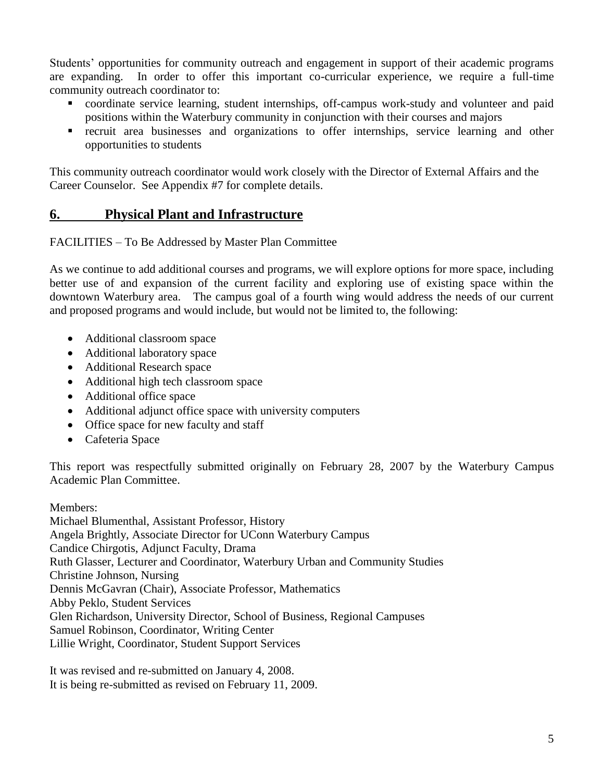Students' opportunities for community outreach and engagement in support of their academic programs are expanding. In order to offer this important co-curricular experience, we require a full-time community outreach coordinator to:

- coordinate service learning, student internships, off-campus work-study and volunteer and paid positions within the Waterbury community in conjunction with their courses and majors
- recruit area businesses and organizations to offer internships, service learning and other opportunities to students

This community outreach coordinator would work closely with the Director of External Affairs and the Career Counselor. See Appendix #7 for complete details.

# **6. Physical Plant and Infrastructure**

FACILITIES – To Be Addressed by Master Plan Committee

As we continue to add additional courses and programs, we will explore options for more space, including better use of and expansion of the current facility and exploring use of existing space within the downtown Waterbury area. The campus goal of a fourth wing would address the needs of our current and proposed programs and would include, but would not be limited to, the following:

- Additional classroom space
- Additional laboratory space
- Additional Research space
- Additional high tech classroom space
- Additional office space
- Additional adjunct office space with university computers
- Office space for new faculty and staff
- Cafeteria Space

This report was respectfully submitted originally on February 28, 2007 by the Waterbury Campus Academic Plan Committee.

Members:

Michael Blumenthal, Assistant Professor, History Angela Brightly, Associate Director for UConn Waterbury Campus Candice Chirgotis, Adjunct Faculty, Drama Ruth Glasser, Lecturer and Coordinator, Waterbury Urban and Community Studies Christine Johnson, Nursing Dennis McGavran (Chair), Associate Professor, Mathematics Abby Peklo, Student Services Glen Richardson, University Director, School of Business, Regional Campuses Samuel Robinson, Coordinator, Writing Center Lillie Wright, Coordinator, Student Support Services

It was revised and re-submitted on January 4, 2008. It is being re-submitted as revised on February 11, 2009.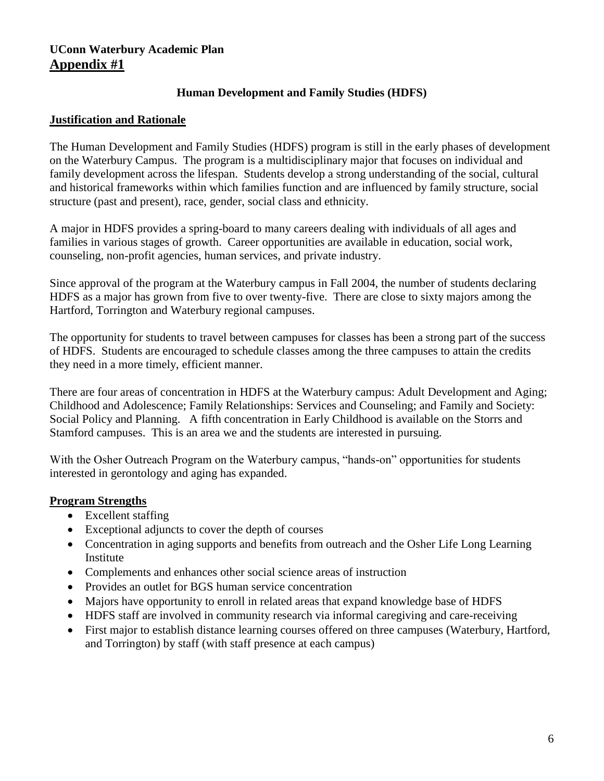## **UConn Waterbury Academic Plan Appendix #1**

## **Human Development and Family Studies (HDFS)**

## **Justification and Rationale**

The Human Development and Family Studies (HDFS) program is still in the early phases of development on the Waterbury Campus. The program is a multidisciplinary major that focuses on individual and family development across the lifespan. Students develop a strong understanding of the social, cultural and historical frameworks within which families function and are influenced by family structure, social structure (past and present), race, gender, social class and ethnicity.

A major in HDFS provides a spring-board to many careers dealing with individuals of all ages and families in various stages of growth. Career opportunities are available in education, social work, counseling, non-profit agencies, human services, and private industry.

Since approval of the program at the Waterbury campus in Fall 2004, the number of students declaring HDFS as a major has grown from five to over twenty-five. There are close to sixty majors among the Hartford, Torrington and Waterbury regional campuses.

The opportunity for students to travel between campuses for classes has been a strong part of the success of HDFS. Students are encouraged to schedule classes among the three campuses to attain the credits they need in a more timely, efficient manner.

There are four areas of concentration in HDFS at the Waterbury campus: Adult Development and Aging; Childhood and Adolescence; Family Relationships: Services and Counseling; and Family and Society: Social Policy and Planning. A fifth concentration in Early Childhood is available on the Storrs and Stamford campuses. This is an area we and the students are interested in pursuing.

With the Osher Outreach Program on the Waterbury campus, "hands-on" opportunities for students interested in gerontology and aging has expanded.

## **Program Strengths**

- Excellent staffing
- Exceptional adjuncts to cover the depth of courses
- Concentration in aging supports and benefits from outreach and the Osher Life Long Learning Institute
- Complements and enhances other social science areas of instruction
- Provides an outlet for BGS human service concentration
- Majors have opportunity to enroll in related areas that expand knowledge base of HDFS
- HDFS staff are involved in community research via informal caregiving and care-receiving
- First major to establish distance learning courses offered on three campuses (Waterbury, Hartford, and Torrington) by staff (with staff presence at each campus)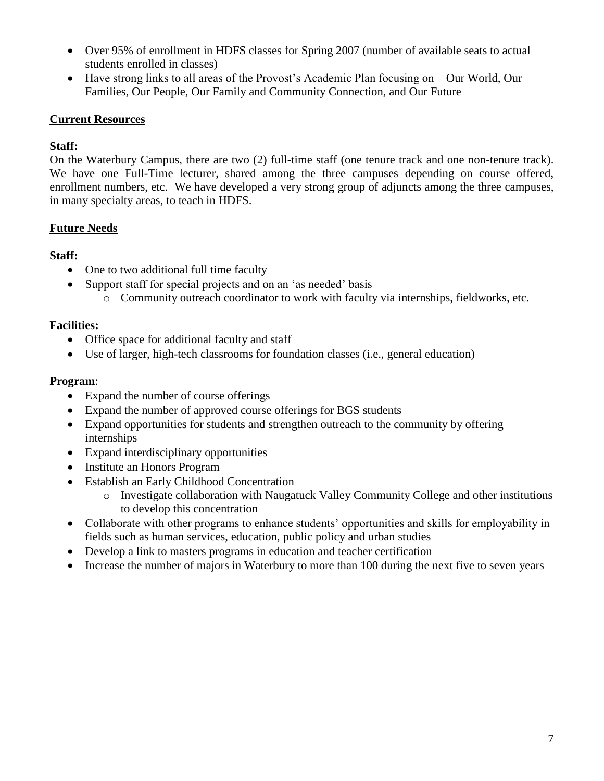- Over 95% of enrollment in HDFS classes for Spring 2007 (number of available seats to actual students enrolled in classes)
- Have strong links to all areas of the Provost's Academic Plan focusing on Our World, Our Families, Our People, Our Family and Community Connection, and Our Future

## **Current Resources**

## **Staff:**

On the Waterbury Campus, there are two (2) full-time staff (one tenure track and one non-tenure track). We have one Full-Time lecturer, shared among the three campuses depending on course offered, enrollment numbers, etc. We have developed a very strong group of adjuncts among the three campuses, in many specialty areas, to teach in HDFS.

## **Future Needs**

## **Staff:**

- One to two additional full time faculty
- Support staff for special projects and on an 'as needed' basis
	- o Community outreach coordinator to work with faculty via internships, fieldworks, etc.

## **Facilities:**

- Office space for additional faculty and staff
- Use of larger, high-tech classrooms for foundation classes (i.e., general education)

## **Program**:

- Expand the number of course offerings
- Expand the number of approved course offerings for BGS students
- Expand opportunities for students and strengthen outreach to the community by offering internships
- Expand interdisciplinary opportunities
- Institute an Honors Program
- Establish an Early Childhood Concentration
	- o Investigate collaboration with Naugatuck Valley Community College and other institutions to develop this concentration
- Collaborate with other programs to enhance students' opportunities and skills for employability in fields such as human services, education, public policy and urban studies
- Develop a link to masters programs in education and teacher certification
- Increase the number of majors in Waterbury to more than 100 during the next five to seven years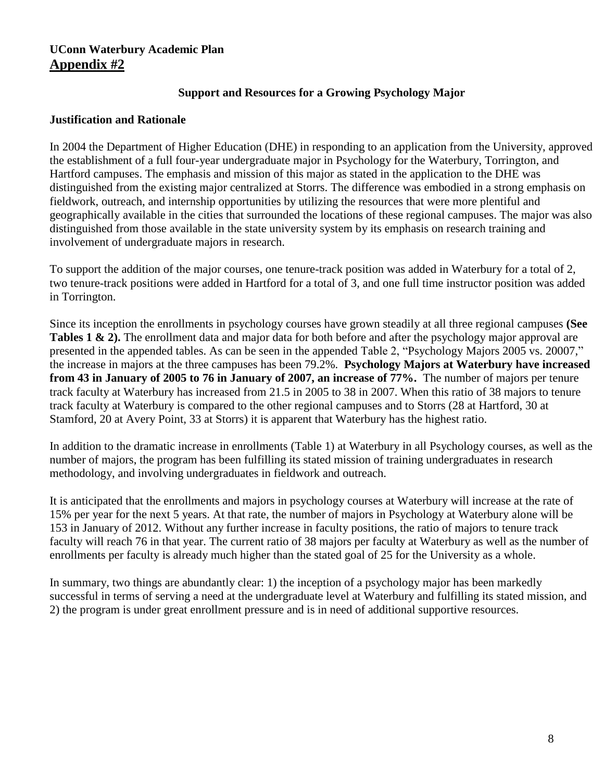## **UConn Waterbury Academic Plan Appendix #2**

## **Support and Resources for a Growing Psychology Major**

## **Justification and Rationale**

In 2004 the Department of Higher Education (DHE) in responding to an application from the University, approved the establishment of a full four-year undergraduate major in Psychology for the Waterbury, Torrington, and Hartford campuses. The emphasis and mission of this major as stated in the application to the DHE was distinguished from the existing major centralized at Storrs. The difference was embodied in a strong emphasis on fieldwork, outreach, and internship opportunities by utilizing the resources that were more plentiful and geographically available in the cities that surrounded the locations of these regional campuses. The major was also distinguished from those available in the state university system by its emphasis on research training and involvement of undergraduate majors in research.

To support the addition of the major courses, one tenure-track position was added in Waterbury for a total of 2, two tenure-track positions were added in Hartford for a total of 3, and one full time instructor position was added in Torrington.

Since its inception the enrollments in psychology courses have grown steadily at all three regional campuses **(See Tables 1 & 2).** The enrollment data and major data for both before and after the psychology major approval are presented in the appended tables. As can be seen in the appended Table 2, "Psychology Majors 2005 vs. 20007," the increase in majors at the three campuses has been 79.2%. **Psychology Majors at Waterbury have increased from 43 in January of 2005 to 76 in January of 2007, an increase of 77%.** The number of majors per tenure track faculty at Waterbury has increased from 21.5 in 2005 to 38 in 2007. When this ratio of 38 majors to tenure track faculty at Waterbury is compared to the other regional campuses and to Storrs (28 at Hartford, 30 at Stamford, 20 at Avery Point, 33 at Storrs) it is apparent that Waterbury has the highest ratio.

In addition to the dramatic increase in enrollments (Table 1) at Waterbury in all Psychology courses, as well as the number of majors, the program has been fulfilling its stated mission of training undergraduates in research methodology, and involving undergraduates in fieldwork and outreach.

It is anticipated that the enrollments and majors in psychology courses at Waterbury will increase at the rate of 15% per year for the next 5 years. At that rate, the number of majors in Psychology at Waterbury alone will be 153 in January of 2012. Without any further increase in faculty positions, the ratio of majors to tenure track faculty will reach 76 in that year. The current ratio of 38 majors per faculty at Waterbury as well as the number of enrollments per faculty is already much higher than the stated goal of 25 for the University as a whole.

In summary, two things are abundantly clear: 1) the inception of a psychology major has been markedly successful in terms of serving a need at the undergraduate level at Waterbury and fulfilling its stated mission, and 2) the program is under great enrollment pressure and is in need of additional supportive resources.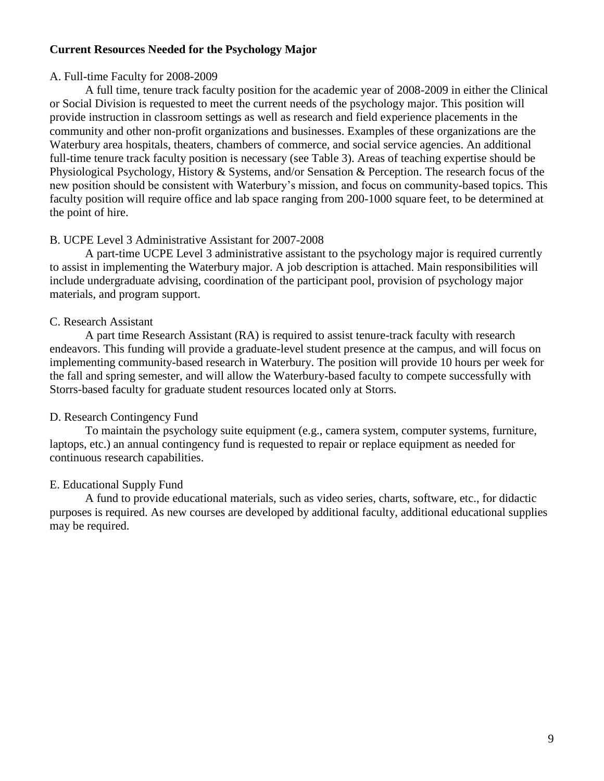#### **Current Resources Needed for the Psychology Major**

#### A. Full-time Faculty for 2008-2009

A full time, tenure track faculty position for the academic year of 2008-2009 in either the Clinical or Social Division is requested to meet the current needs of the psychology major. This position will provide instruction in classroom settings as well as research and field experience placements in the community and other non-profit organizations and businesses. Examples of these organizations are the Waterbury area hospitals, theaters, chambers of commerce, and social service agencies. An additional full-time tenure track faculty position is necessary (see Table 3). Areas of teaching expertise should be Physiological Psychology, History & Systems, and/or Sensation & Perception. The research focus of the new position should be consistent with Waterbury's mission, and focus on community-based topics. This faculty position will require office and lab space ranging from 200-1000 square feet, to be determined at the point of hire.

#### B. UCPE Level 3 Administrative Assistant for 2007-2008

A part-time UCPE Level 3 administrative assistant to the psychology major is required currently to assist in implementing the Waterbury major. A job description is attached. Main responsibilities will include undergraduate advising, coordination of the participant pool, provision of psychology major materials, and program support.

#### C. Research Assistant

A part time Research Assistant (RA) is required to assist tenure-track faculty with research endeavors. This funding will provide a graduate-level student presence at the campus, and will focus on implementing community-based research in Waterbury. The position will provide 10 hours per week for the fall and spring semester, and will allow the Waterbury-based faculty to compete successfully with Storrs-based faculty for graduate student resources located only at Storrs.

## D. Research Contingency Fund

To maintain the psychology suite equipment (e.g., camera system, computer systems, furniture, laptops, etc.) an annual contingency fund is requested to repair or replace equipment as needed for continuous research capabilities.

## E. Educational Supply Fund

A fund to provide educational materials, such as video series, charts, software, etc., for didactic purposes is required. As new courses are developed by additional faculty, additional educational supplies may be required.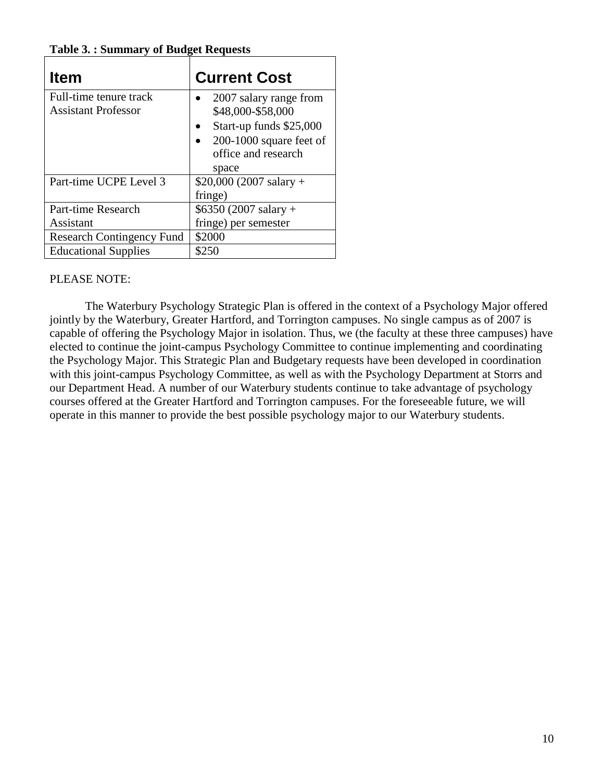| <b>Table 3.: Summary of Budget Requests</b> |  |
|---------------------------------------------|--|
|---------------------------------------------|--|

| <b>Item</b>                                          | <b>Current Cost</b>                                                                                                                 |
|------------------------------------------------------|-------------------------------------------------------------------------------------------------------------------------------------|
| Full-time tenure track<br><b>Assistant Professor</b> | 2007 salary range from<br>\$48,000-\$58,000<br>Start-up funds \$25,000<br>$200-1000$ square feet of<br>office and research<br>space |
| Part-time UCPE Level 3                               | $$20,000 (2007 salary +$<br>fringe)                                                                                                 |
| Part-time Research                                   | $$6350 (2007 salary +$                                                                                                              |
| Assistant                                            | fringe) per semester                                                                                                                |
| <b>Research Contingency Fund</b>                     | \$2000                                                                                                                              |
| <b>Educational Supplies</b>                          | \$250                                                                                                                               |

## PLEASE NOTE:

The Waterbury Psychology Strategic Plan is offered in the context of a Psychology Major offered jointly by the Waterbury, Greater Hartford, and Torrington campuses. No single campus as of 2007 is capable of offering the Psychology Major in isolation. Thus, we (the faculty at these three campuses) have elected to continue the joint-campus Psychology Committee to continue implementing and coordinating the Psychology Major. This Strategic Plan and Budgetary requests have been developed in coordination with this joint-campus Psychology Committee, as well as with the Psychology Department at Storrs and our Department Head. A number of our Waterbury students continue to take advantage of psychology courses offered at the Greater Hartford and Torrington campuses. For the foreseeable future, we will operate in this manner to provide the best possible psychology major to our Waterbury students.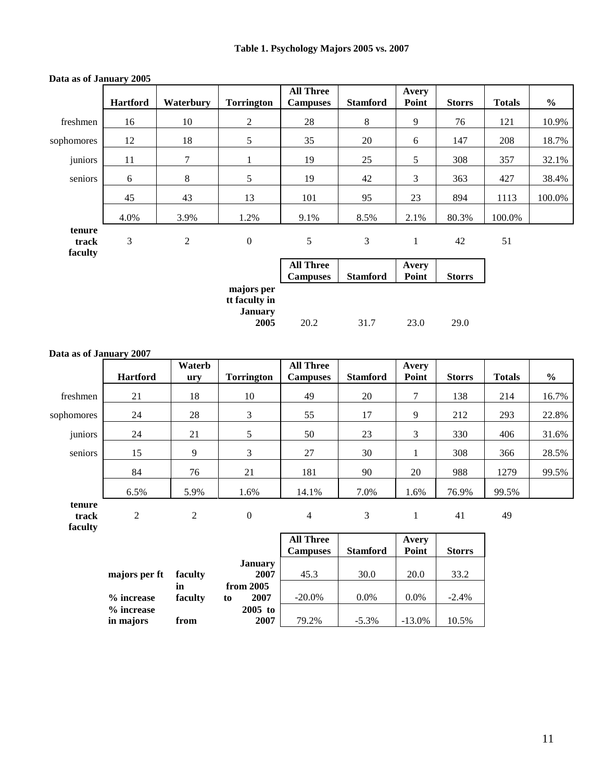|                            | <b>Hartford</b> | Waterbury | <b>Torrington</b>                                     | <b>All Three</b><br><b>Campuses</b> | <b>Stamford</b> | Avery<br>Point | <b>Storrs</b> | <b>Totals</b> | $\frac{6}{6}$ |
|----------------------------|-----------------|-----------|-------------------------------------------------------|-------------------------------------|-----------------|----------------|---------------|---------------|---------------|
| freshmen                   | 16              | 10        | 2                                                     | 28                                  | 8               | 9              | 76            | 121           | 10.9%         |
| sophomores                 | 12              | 18        | 5                                                     | 35                                  | 20              | 6              | 147           | 208           | 18.7%         |
| juniors                    | 11              | 7         | $\mathbf{1}$                                          | 19                                  | 25              | 5              | 308           | 357           | 32.1%         |
| seniors                    | 6               | 8         | 5                                                     | 19                                  | 42              | 3              | 363           | 427           | 38.4%         |
|                            | 45              | 43        | 13                                                    | 101                                 | 95              | 23             | 894           | 1113          | 100.0%        |
|                            | 4.0%            | 3.9%      | 1.2%                                                  | 9.1%                                | 8.5%            | 2.1%           | 80.3%         | 100.0%        |               |
| tenure<br>track<br>faculty | 3               | 2         | $\boldsymbol{0}$                                      | 5                                   | 3               | 1              | 42            | 51            |               |
|                            |                 |           |                                                       | <b>All Three</b><br><b>Campuses</b> | <b>Stamford</b> | Avery<br>Point | <b>Storrs</b> |               |               |
|                            |                 |           | majors per<br>tt faculty in<br><b>January</b><br>2005 | 20.2                                | 31.7            | 23.0           | 29.0          |               |               |

#### **Data as of January 2005**

#### **Data as of January 2007**

|            | <b>Hartford</b> | Waterb<br>ury | <b>Torrington</b> | <b>All Three</b><br><b>Campuses</b> | <b>Stamford</b> | Avery<br>Point | <b>Storrs</b> | <b>Totals</b> | $\frac{6}{9}$ |
|------------|-----------------|---------------|-------------------|-------------------------------------|-----------------|----------------|---------------|---------------|---------------|
| freshmen   | 21              | 18            | 10                | 49                                  | 20              | 7              | 138           | 214           | 16.7%         |
| sophomores | 24              | 28            | 3                 | 55                                  | 17              | 9              | 212           | 293           | 22.8%         |
| juniors    | 24              | 21            | 5                 | 50                                  | 23              | 3              | 330           | 406           | 31.6%         |
| seniors    | 15              | 9             | 3                 | 27                                  | 30              |                | 308           | 366           | 28.5%         |
|            | 84              | 76            | 21                | 181                                 | 90              | 20             | 988           | 1279          | 99.5%         |
|            | 6.5%            | 5.9%          | 1.6%              | 14.1%                               | 7.0%            | 1.6%           | 76.9%         | 99.5%         |               |
| tenure     |                 |               |                   |                                     |                 |                |               |               |               |

**track faculty**

2 2 0 4 3 1 41 49

|               |         |    |                | <b>All Three</b><br><b>Campuses</b> | <b>Stamford</b> | Avery<br>Point | <b>Storrs</b> |
|---------------|---------|----|----------------|-------------------------------------|-----------------|----------------|---------------|
|               |         |    | <b>January</b> |                                     |                 |                |               |
| majors per ft | faculty |    | 2007           | 45.3                                | 30.0            | 20.0           | 33.2          |
|               | in      |    | from 2005      |                                     |                 |                |               |
| % increase    | faculty | to | 2007           | $-20.0\%$                           | $0.0\%$         | $0.0\%$        | $-2.4%$       |
| % increase    |         |    | $2005$ to      |                                     |                 |                |               |
| in majors     | from    |    | 2007           | 79.2%                               | $-5.3\%$        | $-13.0%$       | 10.5%         |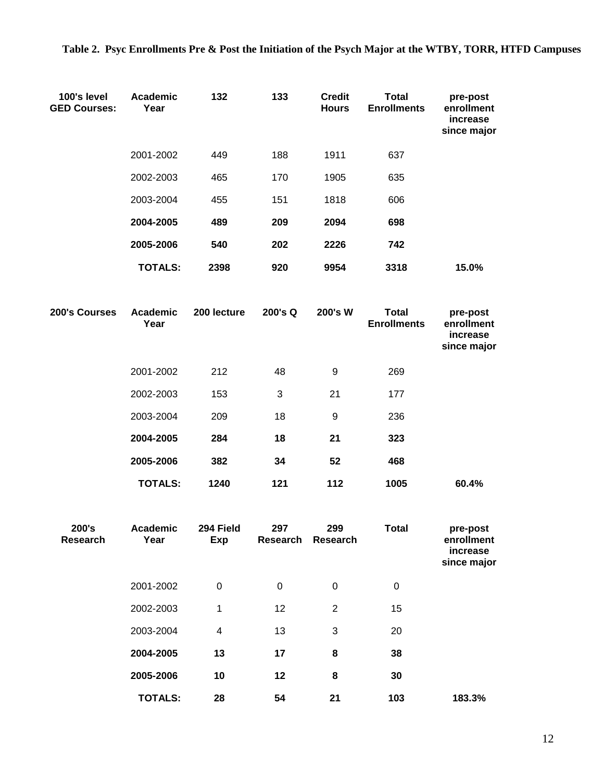| 100's level<br><b>GED Courses:</b> | Academic<br>Year | 132                     | 133       | <b>Credit</b><br><b>Hours</b> | <b>Total</b><br><b>Enrollments</b> | pre-post<br>enrollment<br>increase<br>since major |
|------------------------------------|------------------|-------------------------|-----------|-------------------------------|------------------------------------|---------------------------------------------------|
|                                    | 2001-2002        | 449                     | 188       | 1911                          | 637                                |                                                   |
|                                    | 2002-2003        | 465                     | 170       | 1905                          | 635                                |                                                   |
|                                    | 2003-2004        | 455                     | 151       | 1818                          | 606                                |                                                   |
|                                    | 2004-2005        | 489                     | 209       | 2094                          | 698                                |                                                   |
|                                    | 2005-2006        | 540                     | 202       | 2226                          | 742                                |                                                   |
|                                    | <b>TOTALS:</b>   | 2398                    | 920       | 9954                          | 3318                               | 15.0%                                             |
| 200's Courses                      | Academic<br>Year | 200 lecture             | 200's Q   | 200's W                       | <b>Total</b><br><b>Enrollments</b> | pre-post<br>enrollment<br>increase<br>since major |
|                                    | 2001-2002        | 212                     | 48        | 9                             | 269                                |                                                   |
|                                    | 2002-2003        | 153                     | 3         | 21                            | 177                                |                                                   |
|                                    | 2003-2004        | 209                     | 18        | 9                             | 236                                |                                                   |
|                                    | 2004-2005        | 284                     | 18        | 21                            | 323                                |                                                   |
|                                    | 2005-2006        | 382                     | 34        | 52                            | 468                                |                                                   |
|                                    | <b>TOTALS:</b>   | 1240                    | 121       | 112                           | 1005                               | 60.4%                                             |
| 200's<br>Research                  | Academic<br>Year | 294 Field<br>Exp        | 297       | 299<br>Research Research      | <b>Total</b>                       | pre-post<br>enrollment<br>increase<br>since major |
|                                    | 2001-2002        | $\boldsymbol{0}$        | $\pmb{0}$ | $\mathbf 0$                   | $\pmb{0}$                          |                                                   |
|                                    | 2002-2003        | $\mathbf 1$             | 12        | $\overline{2}$                | 15                                 |                                                   |
|                                    | 2003-2004        | $\overline{\mathbf{4}}$ | 13        | 3                             | 20                                 |                                                   |
|                                    | 2004-2005        | 13                      | 17        | 8                             | 38                                 |                                                   |
|                                    | 2005-2006        | 10                      | 12        | 8                             | 30                                 |                                                   |
|                                    | <b>TOTALS:</b>   | 28                      | 54        | 21                            | 103                                | 183.3%                                            |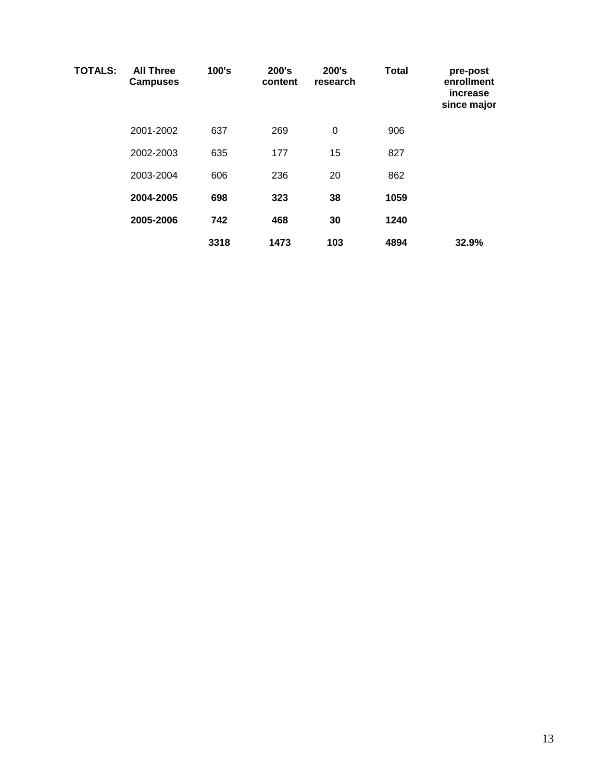| <b>TOTALS:</b> | <b>All Three</b><br><b>Campuses</b> | 100's | 200's<br>content | 200's<br>research | <b>Total</b> | pre-post<br>enrollment<br>increase<br>since major |
|----------------|-------------------------------------|-------|------------------|-------------------|--------------|---------------------------------------------------|
|                | 2001-2002                           | 637   | 269              | 0                 | 906          |                                                   |
|                | 2002-2003                           | 635   | 177              | 15                | 827          |                                                   |
|                | 2003-2004                           | 606   | 236              | 20                | 862          |                                                   |
|                | 2004-2005                           | 698   | 323              | 38                | 1059         |                                                   |
|                | 2005-2006                           | 742   | 468              | 30                | 1240         |                                                   |
|                |                                     | 3318  | 1473             | 103               | 4894         | 32.9%                                             |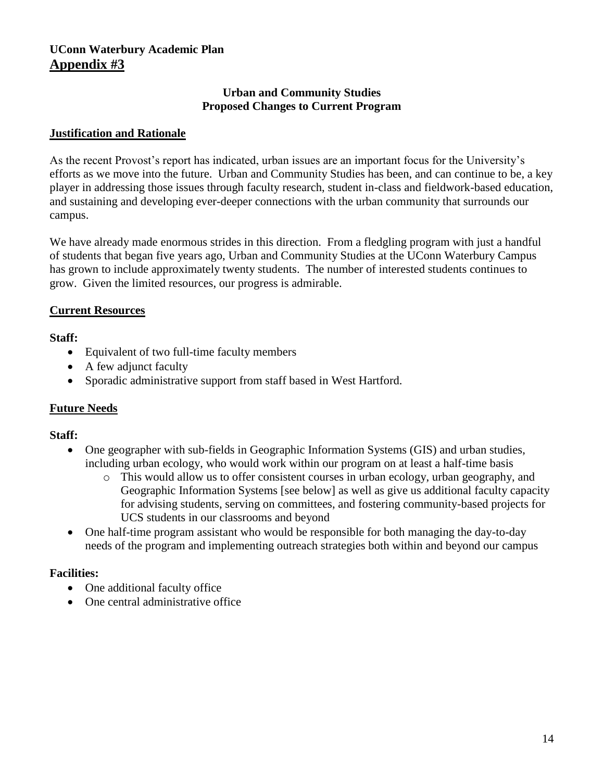## **UConn Waterbury Academic Plan Appendix #3**

#### **Urban and Community Studies Proposed Changes to Current Program**

### **Justification and Rationale**

As the recent Provost's report has indicated, urban issues are an important focus for the University's efforts as we move into the future. Urban and Community Studies has been, and can continue to be, a key player in addressing those issues through faculty research, student in-class and fieldwork-based education, and sustaining and developing ever-deeper connections with the urban community that surrounds our campus.

We have already made enormous strides in this direction. From a fledgling program with just a handful of students that began five years ago, Urban and Community Studies at the UConn Waterbury Campus has grown to include approximately twenty students. The number of interested students continues to grow. Given the limited resources, our progress is admirable.

#### **Current Resources**

## **Staff:**

- Equivalent of two full-time faculty members
- A few adjunct faculty
- Sporadic administrative support from staff based in West Hartford.

## **Future Needs**

## **Staff:**

- One geographer with sub-fields in Geographic Information Systems (GIS) and urban studies, including urban ecology, who would work within our program on at least a half-time basis
	- This would allow us to offer consistent courses in urban ecology, urban geography, and Geographic Information Systems [see below] as well as give us additional faculty capacity for advising students, serving on committees, and fostering community-based projects for UCS students in our classrooms and beyond
- One half-time program assistant who would be responsible for both managing the day-to-day needs of the program and implementing outreach strategies both within and beyond our campus

## **Facilities:**

- One additional faculty office
- One central administrative office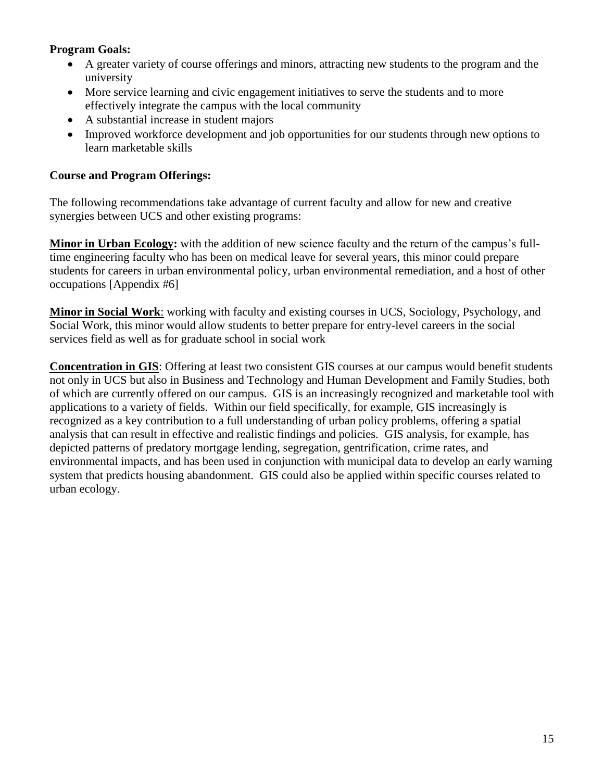## **Program Goals:**

- A greater variety of course offerings and minors, attracting new students to the program and the university
- More service learning and civic engagement initiatives to serve the students and to more effectively integrate the campus with the local community
- A substantial increase in student majors
- Improved workforce development and job opportunities for our students through new options to learn marketable skills

## **Course and Program Offerings:**

The following recommendations take advantage of current faculty and allow for new and creative synergies between UCS and other existing programs:

**Minor in Urban Ecology:** with the addition of new science faculty and the return of the campus's fulltime engineering faculty who has been on medical leave for several years, this minor could prepare students for careers in urban environmental policy, urban environmental remediation, and a host of other occupations [Appendix #6]

**Minor in Social Work**: working with faculty and existing courses in UCS, Sociology, Psychology, and Social Work, this minor would allow students to better prepare for entry-level careers in the social services field as well as for graduate school in social work

**Concentration in GIS**: Offering at least two consistent GIS courses at our campus would benefit students not only in UCS but also in Business and Technology and Human Development and Family Studies, both of which are currently offered on our campus. GIS is an increasingly recognized and marketable tool with applications to a variety of fields. Within our field specifically, for example, GIS increasingly is recognized as a key contribution to a full understanding of urban policy problems, offering a spatial analysis that can result in effective and realistic findings and policies. GIS analysis, for example, has depicted patterns of predatory mortgage lending, segregation, gentrification, crime rates, and environmental impacts, and has been used in conjunction with municipal data to develop an early warning system that predicts housing abandonment. GIS could also be applied within specific courses related to urban ecology.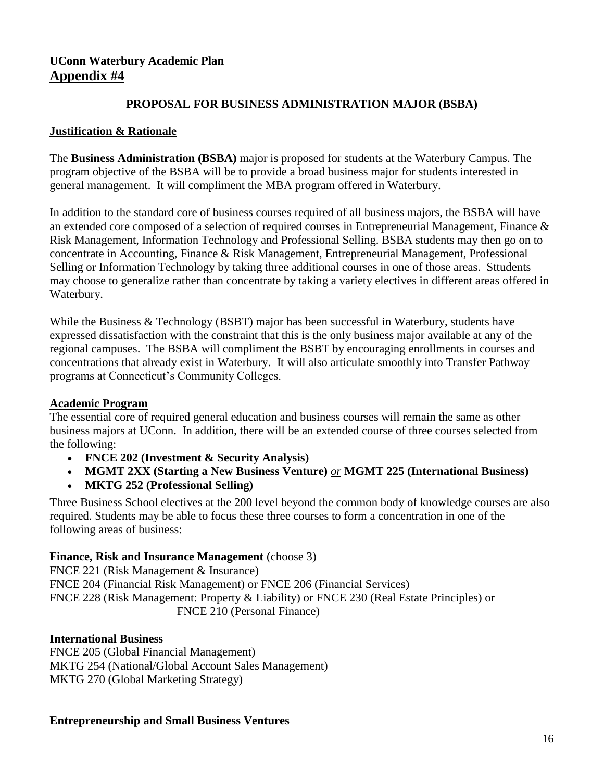## **UConn Waterbury Academic Plan Appendix #4**

### **PROPOSAL FOR BUSINESS ADMINISTRATION MAJOR (BSBA)**

#### **Justification & Rationale**

The **Business Administration (BSBA)** major is proposed for students at the Waterbury Campus. The program objective of the BSBA will be to provide a broad business major for students interested in general management. It will compliment the MBA program offered in Waterbury.

In addition to the standard core of business courses required of all business majors, the BSBA will have an extended core composed of a selection of required courses in Entrepreneurial Management, Finance & Risk Management, Information Technology and Professional Selling. BSBA students may then go on to concentrate in Accounting, Finance & Risk Management, Entrepreneurial Management, Professional Selling or Information Technology by taking three additional courses in one of those areas. Sttudents may choose to generalize rather than concentrate by taking a variety electives in different areas offered in Waterbury.

While the Business & Technology (BSBT) major has been successful in Waterbury, students have expressed dissatisfaction with the constraint that this is the only business major available at any of the regional campuses. The BSBA will compliment the BSBT by encouraging enrollments in courses and concentrations that already exist in Waterbury. It will also articulate smoothly into Transfer Pathway programs at Connecticut's Community Colleges.

## **Academic Program**

The essential core of required general education and business courses will remain the same as other business majors at UConn. In addition, there will be an extended course of three courses selected from the following:

- **FNCE 202 (Investment & Security Analysis)**
- **MGMT 2XX (Starting a New Business Venture)** *or* **MGMT 225 (International Business)**
- **MKTG 252 (Professional Selling)**

Three Business School electives at the 200 level beyond the common body of knowledge courses are also required. Students may be able to focus these three courses to form a concentration in one of the following areas of business:

## **Finance, Risk and Insurance Management** (choose 3)

FNCE 221 (Risk Management & Insurance) FNCE 204 (Financial Risk Management) or FNCE 206 (Financial Services) FNCE 228 (Risk Management: Property & Liability) or FNCE 230 (Real Estate Principles) or FNCE 210 (Personal Finance)

#### **International Business**

FNCE 205 (Global Financial Management) MKTG 254 (National/Global Account Sales Management) MKTG 270 (Global Marketing Strategy)

#### **Entrepreneurship and Small Business Ventures**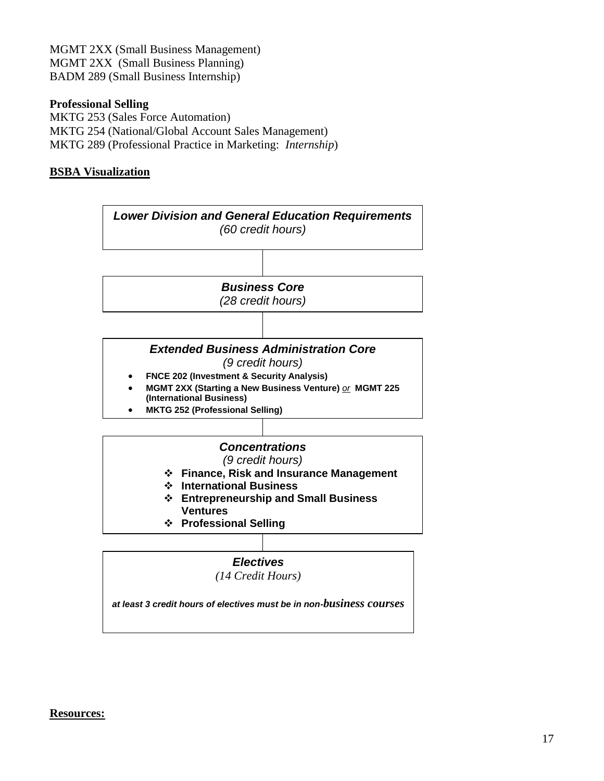MGMT 2XX (Small Business Management) MGMT 2XX (Small Business Planning) BADM 289 (Small Business Internship)

#### **Professional Selling**

MKTG 253 (Sales Force Automation) MKTG 254 (National/Global Account Sales Management) MKTG 289 (Professional Practice in Marketing: *Internship*)

#### **BSBA Visualization**



#### **Resources:**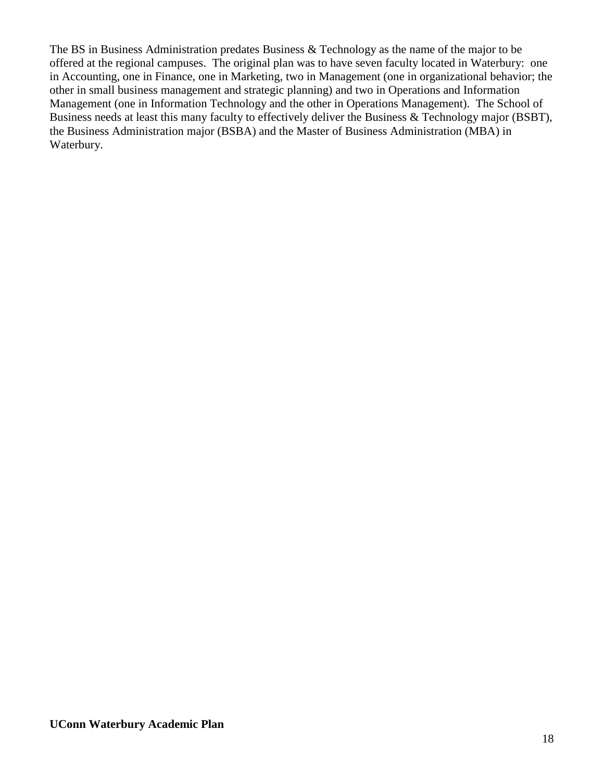The BS in Business Administration predates Business & Technology as the name of the major to be offered at the regional campuses. The original plan was to have seven faculty located in Waterbury: one in Accounting, one in Finance, one in Marketing, two in Management (one in organizational behavior; the other in small business management and strategic planning) and two in Operations and Information Management (one in Information Technology and the other in Operations Management). The School of Business needs at least this many faculty to effectively deliver the Business & Technology major (BSBT), the Business Administration major (BSBA) and the Master of Business Administration (MBA) in Waterbury.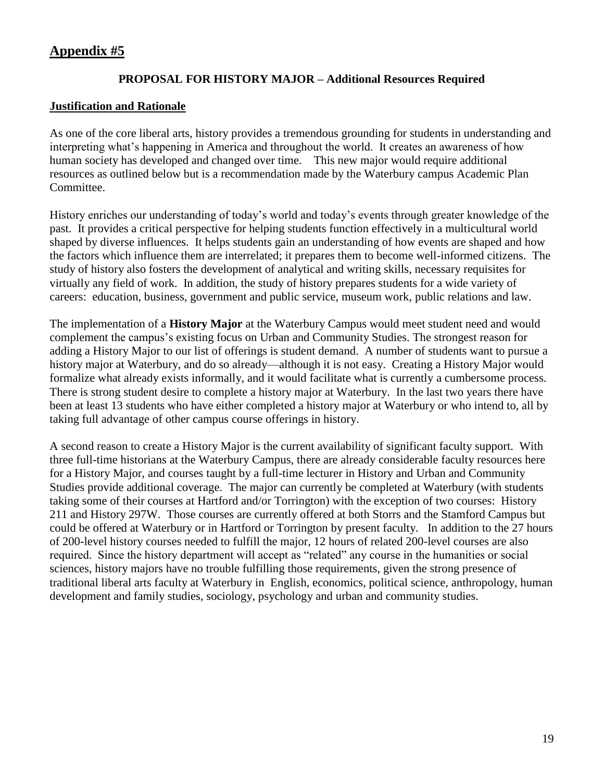# **Appendix #5**

## **PROPOSAL FOR HISTORY MAJOR – Additional Resources Required**

## **Justification and Rationale**

As one of the core liberal arts, history provides a tremendous grounding for students in understanding and interpreting what's happening in America and throughout the world. It creates an awareness of how human society has developed and changed over time. This new major would require additional resources as outlined below but is a recommendation made by the Waterbury campus Academic Plan Committee.

History enriches our understanding of today's world and today's events through greater knowledge of the past. It provides a critical perspective for helping students function effectively in a multicultural world shaped by diverse influences. It helps students gain an understanding of how events are shaped and how the factors which influence them are interrelated; it prepares them to become well-informed citizens. The study of history also fosters the development of analytical and writing skills, necessary requisites for virtually any field of work. In addition, the study of history prepares students for a wide variety of careers: education, business, government and public service, museum work, public relations and law.

The implementation of a **History Major** at the Waterbury Campus would meet student need and would complement the campus's existing focus on Urban and Community Studies. The strongest reason for adding a History Major to our list of offerings is student demand. A number of students want to pursue a history major at Waterbury, and do so already—although it is not easy. Creating a History Major would formalize what already exists informally, and it would facilitate what is currently a cumbersome process. There is strong student desire to complete a history major at Waterbury. In the last two years there have been at least 13 students who have either completed a history major at Waterbury or who intend to, all by taking full advantage of other campus course offerings in history.

A second reason to create a History Major is the current availability of significant faculty support. With three full-time historians at the Waterbury Campus, there are already considerable faculty resources here for a History Major, and courses taught by a full-time lecturer in History and Urban and Community Studies provide additional coverage. The major can currently be completed at Waterbury (with students taking some of their courses at Hartford and/or Torrington) with the exception of two courses: History 211 and History 297W. Those courses are currently offered at both Storrs and the Stamford Campus but could be offered at Waterbury or in Hartford or Torrington by present faculty. In addition to the 27 hours of 200-level history courses needed to fulfill the major, 12 hours of related 200-level courses are also required. Since the history department will accept as "related" any course in the humanities or social sciences, history majors have no trouble fulfilling those requirements, given the strong presence of traditional liberal arts faculty at Waterbury in English, economics, political science, anthropology, human development and family studies, sociology, psychology and urban and community studies.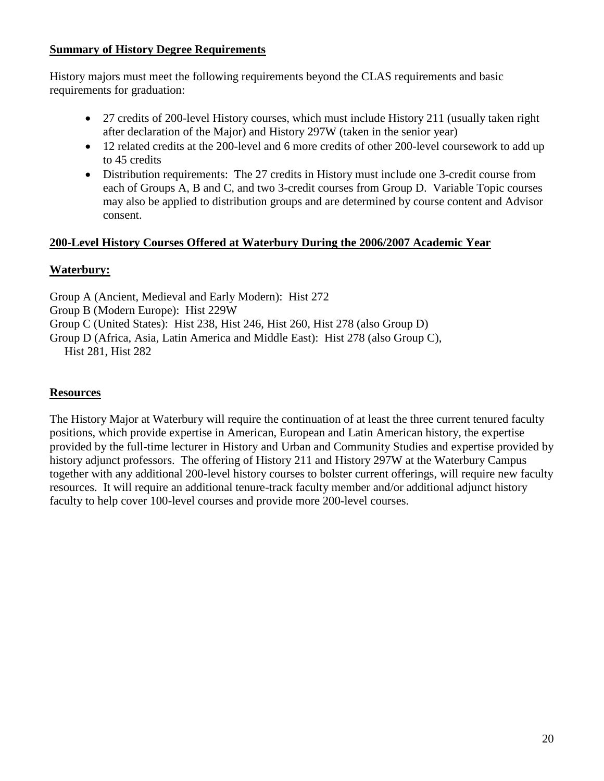## **Summary of History Degree Requirements**

History majors must meet the following requirements beyond the CLAS requirements and basic requirements for graduation:

- 27 credits of 200-level History courses, which must include History 211 (usually taken right after declaration of the Major) and History 297W (taken in the senior year)
- 12 related credits at the 200-level and 6 more credits of other 200-level coursework to add up to 45 credits
- Distribution requirements: The 27 credits in History must include one 3-credit course from each of Groups A, B and C, and two 3-credit courses from Group D. Variable Topic courses may also be applied to distribution groups and are determined by course content and Advisor consent.

## **200-Level History Courses Offered at Waterbury During the 2006/2007 Academic Year**

## **Waterbury:**

Group A (Ancient, Medieval and Early Modern): Hist 272

Group B (Modern Europe): Hist 229W

Group C (United States): Hist 238, Hist 246, Hist 260, Hist 278 (also Group D)

Group D (Africa, Asia, Latin America and Middle East): Hist 278 (also Group C),

Hist 281, Hist 282

## **Resources**

The History Major at Waterbury will require the continuation of at least the three current tenured faculty positions, which provide expertise in American, European and Latin American history, the expertise provided by the full-time lecturer in History and Urban and Community Studies and expertise provided by history adjunct professors. The offering of History 211 and History 297W at the Waterbury Campus together with any additional 200-level history courses to bolster current offerings, will require new faculty resources. It will require an additional tenure-track faculty member and/or additional adjunct history faculty to help cover 100-level courses and provide more 200-level courses.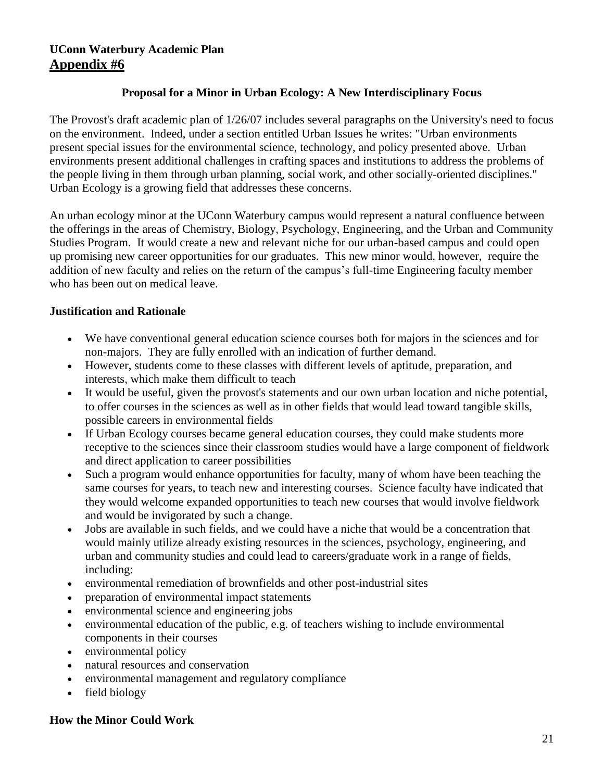## **Proposal for a Minor in Urban Ecology: A New Interdisciplinary Focus**

The Provost's draft academic plan of 1/26/07 includes several paragraphs on the University's need to focus on the environment. Indeed, under a section entitled Urban Issues he writes: "Urban environments present special issues for the environmental science, technology, and policy presented above. Urban environments present additional challenges in crafting spaces and institutions to address the problems of the people living in them through urban planning, social work, and other socially-oriented disciplines." Urban Ecology is a growing field that addresses these concerns.

An urban ecology minor at the UConn Waterbury campus would represent a natural confluence between the offerings in the areas of Chemistry, Biology, Psychology, Engineering, and the Urban and Community Studies Program. It would create a new and relevant niche for our urban-based campus and could open up promising new career opportunities for our graduates. This new minor would, however, require the addition of new faculty and relies on the return of the campus's full-time Engineering faculty member who has been out on medical leave.

## **Justification and Rationale**

- We have conventional general education science courses both for majors in the sciences and for non-majors. They are fully enrolled with an indication of further demand.
- However, students come to these classes with different levels of aptitude, preparation, and interests, which make them difficult to teach
- It would be useful, given the provost's statements and our own urban location and niche potential, to offer courses in the sciences as well as in other fields that would lead toward tangible skills, possible careers in environmental fields
- If Urban Ecology courses became general education courses, they could make students more receptive to the sciences since their classroom studies would have a large component of fieldwork and direct application to career possibilities
- Such a program would enhance opportunities for faculty, many of whom have been teaching the same courses for years, to teach new and interesting courses. Science faculty have indicated that they would welcome expanded opportunities to teach new courses that would involve fieldwork and would be invigorated by such a change.
- Jobs are available in such fields, and we could have a niche that would be a concentration that would mainly utilize already existing resources in the sciences, psychology, engineering, and urban and community studies and could lead to careers/graduate work in a range of fields, including:
- environmental remediation of brownfields and other post-industrial sites
- preparation of environmental impact statements
- environmental science and engineering jobs
- environmental education of the public, e.g. of teachers wishing to include environmental components in their courses
- environmental policy
- natural resources and conservation
- environmental management and regulatory compliance
- field biology

#### **How the Minor Could Work**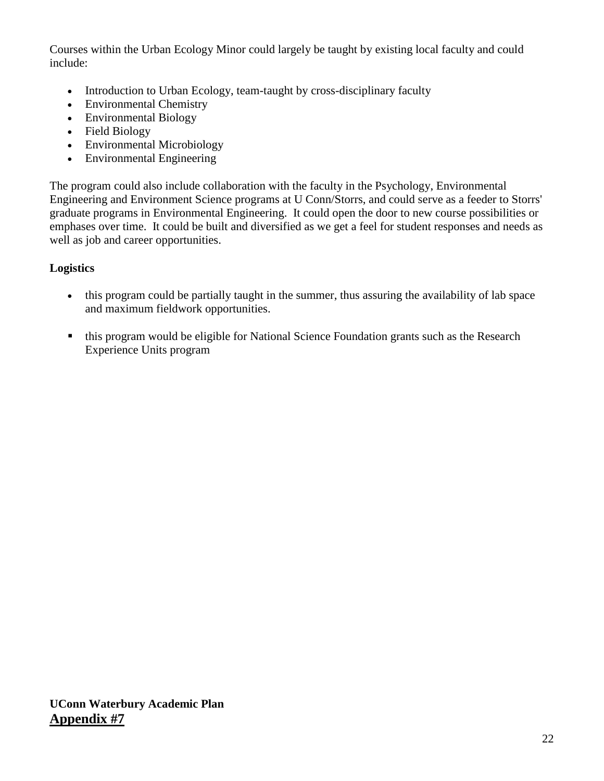Courses within the Urban Ecology Minor could largely be taught by existing local faculty and could include:

- Introduction to Urban Ecology, team-taught by cross-disciplinary faculty
- Environmental Chemistry
- Environmental Biology
- Field Biology
- Environmental Microbiology
- Environmental Engineering

The program could also include collaboration with the faculty in the Psychology, Environmental Engineering and Environment Science programs at U Conn/Storrs, and could serve as a feeder to Storrs' graduate programs in Environmental Engineering. It could open the door to new course possibilities or emphases over time. It could be built and diversified as we get a feel for student responses and needs as well as job and career opportunities.

## **Logistics**

- this program could be partially taught in the summer, thus assuring the availability of lab space and maximum fieldwork opportunities.
- this program would be eligible for National Science Foundation grants such as the Research Experience Units program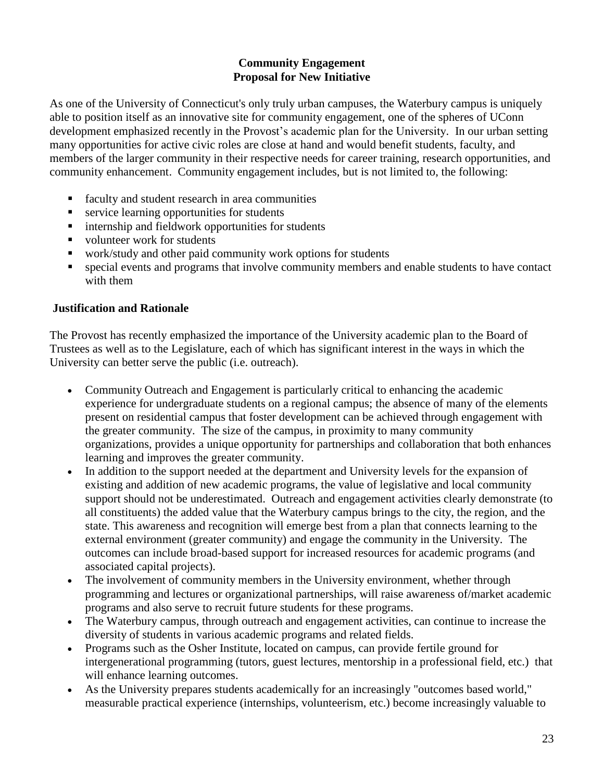## **Community Engagement Proposal for New Initiative**

As one of the University of Connecticut's only truly urban campuses, the Waterbury campus is uniquely able to position itself as an innovative site for community engagement, one of the spheres of UConn development emphasized recently in the Provost's academic plan for the University. In our urban setting many opportunities for active civic roles are close at hand and would benefit students, faculty, and members of the larger community in their respective needs for career training, research opportunities, and community enhancement. Community engagement includes, but is not limited to, the following:

- **faculty and student research in area communities**
- service learning opportunities for students
- $\blacksquare$  internship and fieldwork opportunities for students
- volunteer work for students
- work/study and other paid community work options for students
- special events and programs that involve community members and enable students to have contact with them

#### **Justification and Rationale**

The Provost has recently emphasized the importance of the University academic plan to the Board of Trustees as well as to the Legislature, each of which has significant interest in the ways in which the University can better serve the public (i.e. outreach).

- Community Outreach and Engagement is particularly critical to enhancing the academic experience for undergraduate students on a regional campus; the absence of many of the elements present on residential campus that foster development can be achieved through engagement with the greater community. The size of the campus, in proximity to many community organizations, provides a unique opportunity for partnerships and collaboration that both enhances learning and improves the greater community.
- In addition to the support needed at the department and University levels for the expansion of existing and addition of new academic programs, the value of legislative and local community support should not be underestimated. Outreach and engagement activities clearly demonstrate (to all constituents) the added value that the Waterbury campus brings to the city, the region, and the state. This awareness and recognition will emerge best from a plan that connects learning to the external environment (greater community) and engage the community in the University. The outcomes can include broad-based support for increased resources for academic programs (and associated capital projects).
- The involvement of community members in the University environment, whether through programming and lectures or organizational partnerships, will raise awareness of/market academic programs and also serve to recruit future students for these programs.
- The Waterbury campus, through outreach and engagement activities, can continue to increase the diversity of students in various academic programs and related fields.
- Programs such as the Osher Institute, located on campus, can provide fertile ground for intergenerational programming (tutors, guest lectures, mentorship in a professional field, etc.) that will enhance learning outcomes.
- As the University prepares students academically for an increasingly "outcomes based world," measurable practical experience (internships, volunteerism, etc.) become increasingly valuable to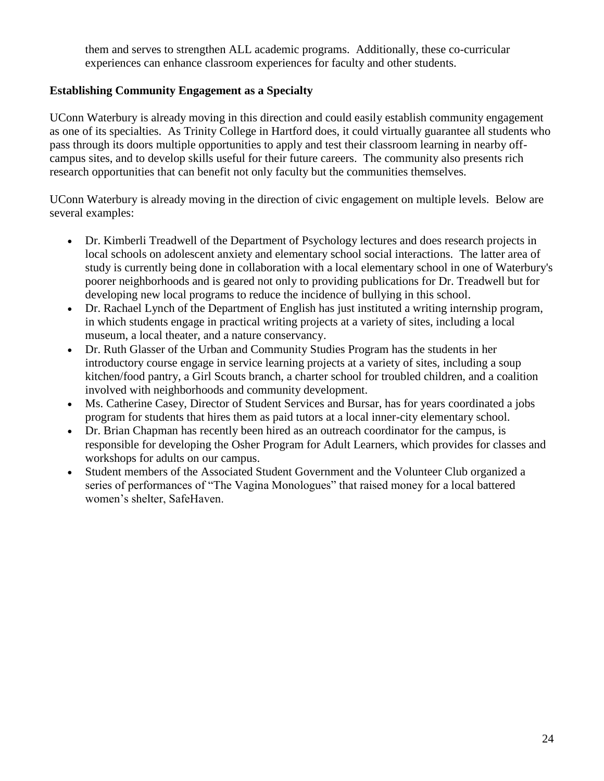them and serves to strengthen ALL academic programs. Additionally, these co-curricular experiences can enhance classroom experiences for faculty and other students.

## **Establishing Community Engagement as a Specialty**

UConn Waterbury is already moving in this direction and could easily establish community engagement as one of its specialties. As Trinity College in Hartford does, it could virtually guarantee all students who pass through its doors multiple opportunities to apply and test their classroom learning in nearby offcampus sites, and to develop skills useful for their future careers. The community also presents rich research opportunities that can benefit not only faculty but the communities themselves.

UConn Waterbury is already moving in the direction of civic engagement on multiple levels. Below are several examples:

- Dr. Kimberli Treadwell of the Department of Psychology lectures and does research projects in local schools on adolescent anxiety and elementary school social interactions. The latter area of study is currently being done in collaboration with a local elementary school in one of Waterbury's poorer neighborhoods and is geared not only to providing publications for Dr. Treadwell but for developing new local programs to reduce the incidence of bullying in this school.
- Dr. Rachael Lynch of the Department of English has just instituted a writing internship program, in which students engage in practical writing projects at a variety of sites, including a local museum, a local theater, and a nature conservancy.
- Dr. Ruth Glasser of the Urban and Community Studies Program has the students in her introductory course engage in service learning projects at a variety of sites, including a soup kitchen/food pantry, a Girl Scouts branch, a charter school for troubled children, and a coalition involved with neighborhoods and community development.
- Ms. Catherine Casey, Director of Student Services and Bursar, has for years coordinated a jobs program for students that hires them as paid tutors at a local inner-city elementary school.
- Dr. Brian Chapman has recently been hired as an outreach coordinator for the campus, is responsible for developing the Osher Program for Adult Learners, which provides for classes and workshops for adults on our campus.
- Student members of the Associated Student Government and the Volunteer Club organized a series of performances of "The Vagina Monologues" that raised money for a local battered women's shelter, SafeHaven.